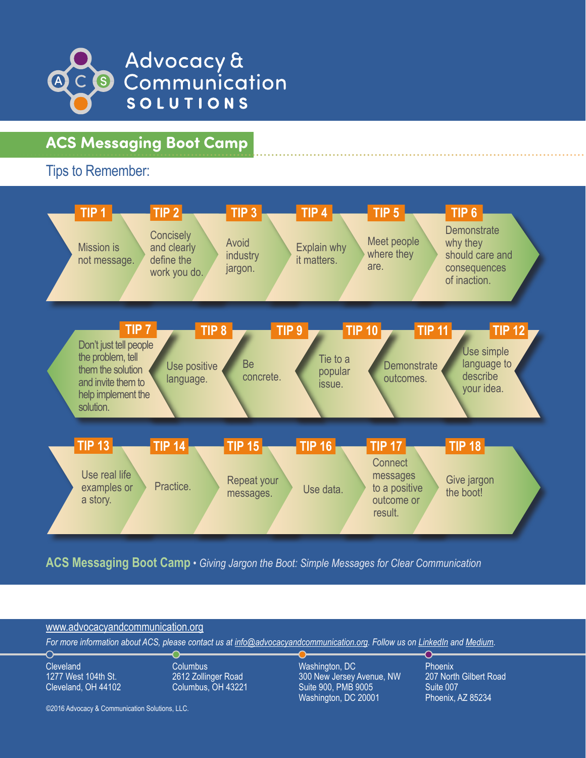

# **ACS Messaging Boot Camp**

Tips to Remember:



**ACS Messaging Boot Camp** *• Giving Jargon the Boot: Simple Messages for Clear Communication*



©2016 Advocacy & Communication Solutions, LLC.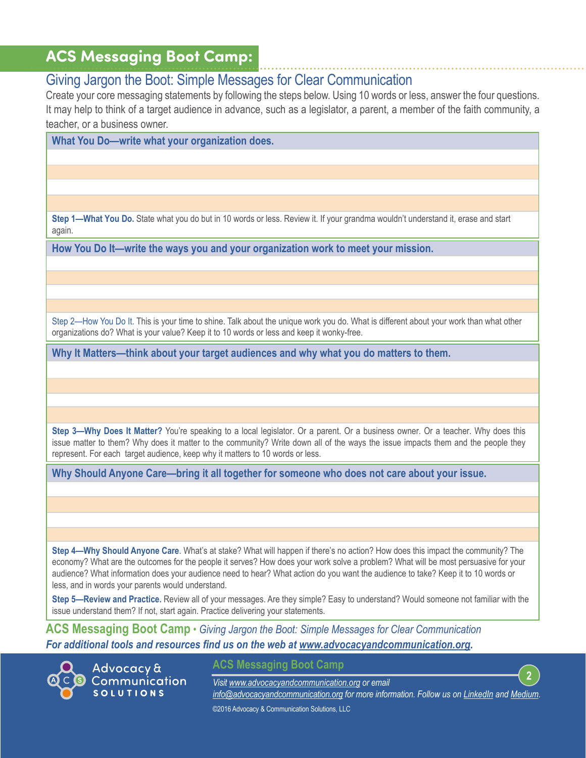### **ACS Messaging Boot Camp:**

### Giving Jargon the Boot: Simple Messages for Clear Communication

Create your core messaging statements by following the steps below. Using 10 words or less, answer the four questions. It may help to think of a target audience in advance, such as a legislator, a parent, a member of the faith community, a teacher, or a business owner.

**What You Do—write what your organization does.**

**Step 1—What You Do.** State what you do but in 10 words or less. Review it. If your grandma wouldn't understand it, erase and start again.

**How You Do It—write the ways you and your organization work to meet your mission.**

Step 2—How You Do It. This is your time to shine. Talk about the unique work you do. What is different about your work than what other organizations do? What is your value? Keep it to 10 words or less and keep it wonky-free.

**Why It Matters—think about your target audiences and why what you do matters to them.**

**Step 3—Why Does It Matter?** You're speaking to a local legislator. Or a parent. Or a business owner. Or a teacher. Why does this issue matter to them? Why does it matter to the community? Write down all of the ways the issue impacts them and the people they represent. For each target audience, keep why it matters to 10 words or less.

**Why Should Anyone Care—bring it all together for someone who does not care about your issue.** 

**Step 4—Why Should Anyone Care**. What's at stake? What will happen if there's no action? How does this impact the community? The economy? What are the outcomes for the people it serves? How does your work solve a problem? What will be most persuasive for your audience? What information does your audience need to hear? What action do you want the audience to take? Keep it to 10 words or less, and in words your parents would understand.

**Step 5—Review and Practice.** Review all of your messages. Are they simple? Easy to understand? Would someone not familiar with the issue understand them? If not, start again. Practice delivering your statements.

**ACS Messaging Boot Camp** *• Giving Jargon the Boot: Simple Messages for Clear Communication For additional tools and resources find us on the web at [www.advocacyandcommunication.org.](http://www.advocacyandcommunication.org/)*

Advocacy & Communication **SOLUTIONS** 

**ACS Messaging Boot Camp**

**2** *Visit www.[advocacyandcommunication.org](http://www.advocacyandcommunication.org/) or email [info@advocacyandcommunication.org](mailto:info%40advocacyandcommunication.org?subject=) for more information. Follow us on [LinkedIn](https://www.linkedin.com/company/advocacy-&-communication-solutions-llc) and [Medium.](https://medium.com/@acsllc)*  ©2016 Advocacy & Communication Solutions, LLC.